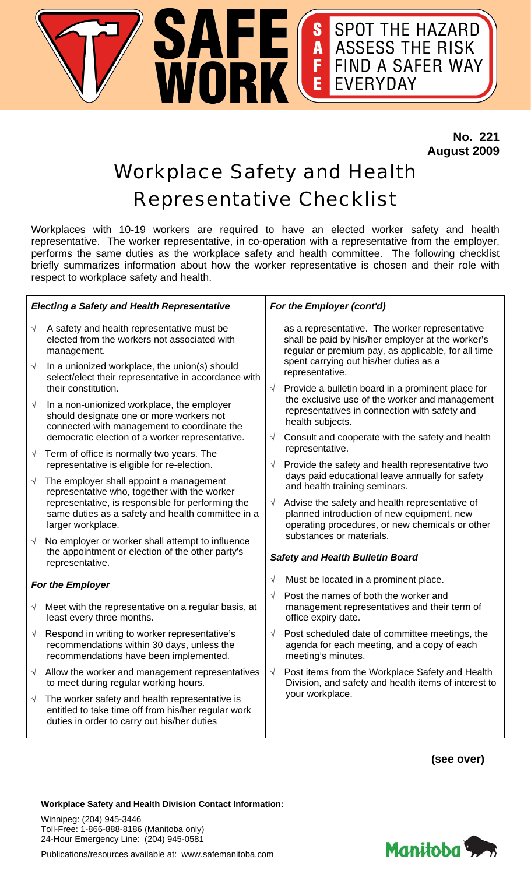

 **No. 221 August 2009** 

## Workplace Safety and Health Representative Checklist

Workplaces with 10-19 workers are required to have an elected worker safety and health representative. The worker representative, in co-operation with a representative from the employer, performs the same duties as the workplace safety and health committee. The following checklist briefly summarizes information about how the worker representative is chosen and their role with respect to workplace safety and health.

| <b>Electing a Safety and Health Representative</b> |                                                                                                                                                      | For the Employer (cont'd)               |                                                                                                                                                                                                                                                                                                                                                                                                     |  |
|----------------------------------------------------|------------------------------------------------------------------------------------------------------------------------------------------------------|-----------------------------------------|-----------------------------------------------------------------------------------------------------------------------------------------------------------------------------------------------------------------------------------------------------------------------------------------------------------------------------------------------------------------------------------------------------|--|
| $\sqrt{ }$                                         | A safety and health representative must be<br>elected from the workers not associated with<br>management.                                            | $\sqrt{ }$                              | as a representative. The worker representative<br>shall be paid by his/her employer at the worker's<br>regular or premium pay, as applicable, for all time<br>spent carrying out his/her duties as a<br>representative.<br>Provide a bulletin board in a prominent place for<br>the exclusive use of the worker and management<br>representatives in connection with safety and<br>health subjects. |  |
| $\sqrt{ }$                                         | In a unionized workplace, the union(s) should<br>select/elect their representative in accordance with<br>their constitution.                         |                                         |                                                                                                                                                                                                                                                                                                                                                                                                     |  |
| $\sqrt{ }$                                         | In a non-unionized workplace, the employer<br>should designate one or more workers not<br>connected with management to coordinate the                |                                         |                                                                                                                                                                                                                                                                                                                                                                                                     |  |
|                                                    | democratic election of a worker representative.                                                                                                      | $\sqrt{ }$                              | Consult and cooperate with the safety and health<br>representative.                                                                                                                                                                                                                                                                                                                                 |  |
| $\sqrt{ }$                                         | Term of office is normally two years. The<br>representative is eligible for re-election.                                                             | $\sqrt{ }$<br>$\sqrt{ }$                | Provide the safety and health representative two                                                                                                                                                                                                                                                                                                                                                    |  |
| $\sqrt{ }$                                         | The employer shall appoint a management<br>representative who, together with the worker                                                              |                                         | days paid educational leave annually for safety<br>and health training seminars.                                                                                                                                                                                                                                                                                                                    |  |
|                                                    | representative, is responsible for performing the<br>same duties as a safety and health committee in a<br>larger workplace.                          |                                         | Advise the safety and health representative of<br>planned introduction of new equipment, new<br>operating procedures, or new chemicals or other                                                                                                                                                                                                                                                     |  |
| $\sqrt{ }$                                         | No employer or worker shall attempt to influence                                                                                                     |                                         | substances or materials.                                                                                                                                                                                                                                                                                                                                                                            |  |
|                                                    | the appointment or election of the other party's<br>representative.                                                                                  | <b>Safety and Health Bulletin Board</b> |                                                                                                                                                                                                                                                                                                                                                                                                     |  |
| For the Employer                                   |                                                                                                                                                      | $\sqrt{}$                               | Must be located in a prominent place.                                                                                                                                                                                                                                                                                                                                                               |  |
| $\sqrt{ }$                                         | Meet with the representative on a regular basis, at<br>least every three months.                                                                     | $\sqrt{}$                               | Post the names of both the worker and<br>management representatives and their term of<br>office expiry date.                                                                                                                                                                                                                                                                                        |  |
| $\sqrt{ }$                                         | Respond in writing to worker representative's<br>recommendations within 30 days, unless the<br>recommendations have been implemented.                | $\sqrt{}$                               | Post scheduled date of committee meetings, the<br>agenda for each meeting, and a copy of each<br>meeting's minutes.                                                                                                                                                                                                                                                                                 |  |
| $\sqrt{ }$                                         | Allow the worker and management representatives<br>to meet during regular working hours.                                                             | $\sqrt{ }$                              | Post items from the Workplace Safety and Health<br>Division, and safety and health items of interest to<br>your workplace.                                                                                                                                                                                                                                                                          |  |
| $\sqrt{ }$                                         | The worker safety and health representative is<br>entitled to take time off from his/her regular work<br>duties in order to carry out his/her duties |                                         |                                                                                                                                                                                                                                                                                                                                                                                                     |  |
|                                                    |                                                                                                                                                      |                                         |                                                                                                                                                                                                                                                                                                                                                                                                     |  |

**(see over)** 

Manitoba

## **Workplace Safety and Health Division Contact Information:**

Winnipeg: (204) 945-3446 Toll-Free: 1-866-888-8186 (Manitoba only) 24-Hour Emergency Line: (204) 945-0581